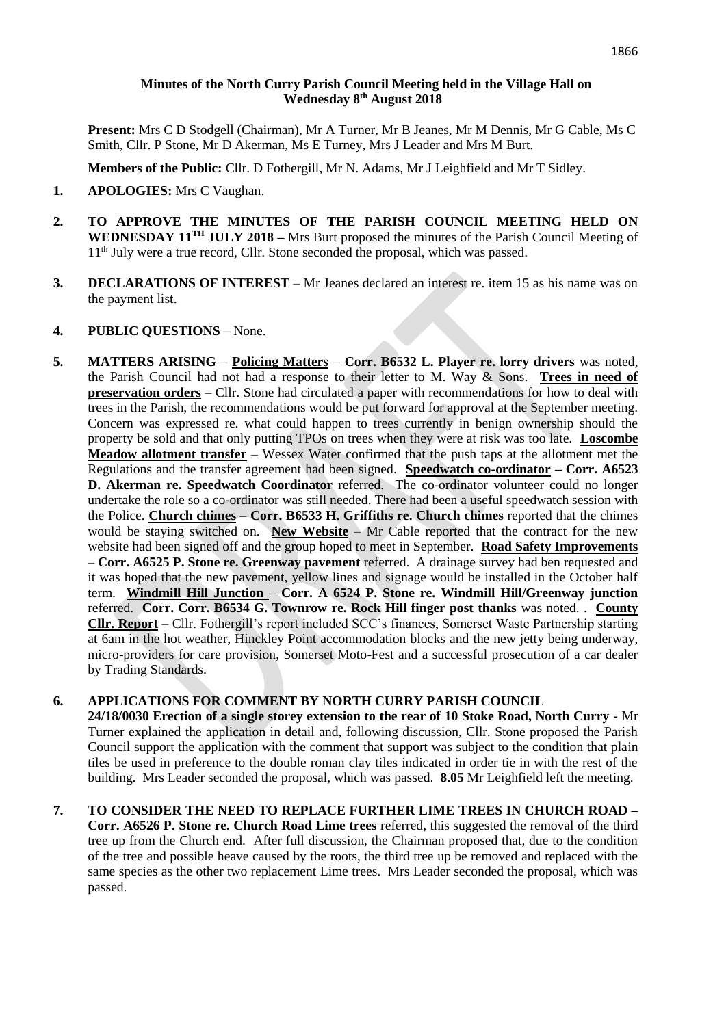## **Minutes of the North Curry Parish Council Meeting held in the Village Hall on Wednesday 8 th August 2018**

**Present:** Mrs C D Stodgell (Chairman), Mr A Turner, Mr B Jeanes, Mr M Dennis, Mr G Cable, Ms C Smith, Cllr. P Stone, Mr D Akerman, Ms E Turney, Mrs J Leader and Mrs M Burt.

**Members of the Public:** Cllr. D Fothergill, Mr N. Adams, Mr J Leighfield and Mr T Sidley.

- **1. APOLOGIES:** Mrs C Vaughan.
- **2. TO APPROVE THE MINUTES OF THE PARISH COUNCIL MEETING HELD ON WEDNESDAY 11 TH JULY 2018 –** Mrs Burt proposed the minutes of the Parish Council Meeting of 1<sup>th</sup> July were a true record, Cllr. Stone seconded the proposal, which was passed.
- **3. DECLARATIONS OF INTEREST**  Mr Jeanes declared an interest re. item 15 as his name was on the payment list.
- **4. PUBLIC QUESTIONS –** None.
- **5. MATTERS ARISING Policing Matters Corr. B6532 L. Player re. lorry drivers** was noted, the Parish Council had not had a response to their letter to M. Way & Sons. **Trees in need of preservation orders** – Cllr. Stone had circulated a paper with recommendations for how to deal with trees in the Parish, the recommendations would be put forward for approval at the September meeting. Concern was expressed re. what could happen to trees currently in benign ownership should the property be sold and that only putting TPOs on trees when they were at risk was too late. **Loscombe Meadow allotment transfer** – Wessex Water confirmed that the push taps at the allotment met the Regulations and the transfer agreement had been signed. **Speedwatch co-ordinator – Corr. A6523 D. Akerman re. Speedwatch Coordinator** referred.The co-ordinator volunteer could no longer undertake the role so a co-ordinator was still needed. There had been a useful speedwatch session with the Police. **Church chimes** – **Corr. B6533 H. Griffiths re. Church chimes** reported that the chimes would be staying switched on. **New Website** – Mr Cable reported that the contract for the new website had been signed off and the group hoped to meet in September. **Road Safety Improvements** – **Corr. A6525 P. Stone re. Greenway pavement** referred. A drainage survey had ben requested and it was hoped that the new pavement, yellow lines and signage would be installed in the October half term. **Windmill Hill Junction** – **Corr. A 6524 P. Stone re. Windmill Hill/Greenway junction** referred. **Corr. Corr. B6534 G. Townrow re. Rock Hill finger post thanks** was noted. . **County Cllr. Report** – Cllr. Fothergill's report included SCC's finances, Somerset Waste Partnership starting at 6am in the hot weather, Hinckley Point accommodation blocks and the new jetty being underway, micro-providers for care provision, Somerset Moto-Fest and a successful prosecution of a car dealer by Trading Standards.

## **6. APPLICATIONS FOR COMMENT BY NORTH CURRY PARISH COUNCIL**

**24/18/0030 Erection of a single storey extension to the rear of 10 Stoke Road, North Curry -** Mr Turner explained the application in detail and, following discussion, Cllr. Stone proposed the Parish Council support the application with the comment that support was subject to the condition that plain tiles be used in preference to the double roman clay tiles indicated in order tie in with the rest of the building. Mrs Leader seconded the proposal, which was passed. **8.05** Mr Leighfield left the meeting.

**7. TO CONSIDER THE NEED TO REPLACE FURTHER LIME TREES IN CHURCH ROAD – Corr. A6526 P. Stone re. Church Road Lime trees** referred, this suggested the removal of the third tree up from the Church end. After full discussion, the Chairman proposed that, due to the condition of the tree and possible heave caused by the roots, the third tree up be removed and replaced with the same species as the other two replacement Lime trees. Mrs Leader seconded the proposal, which was passed.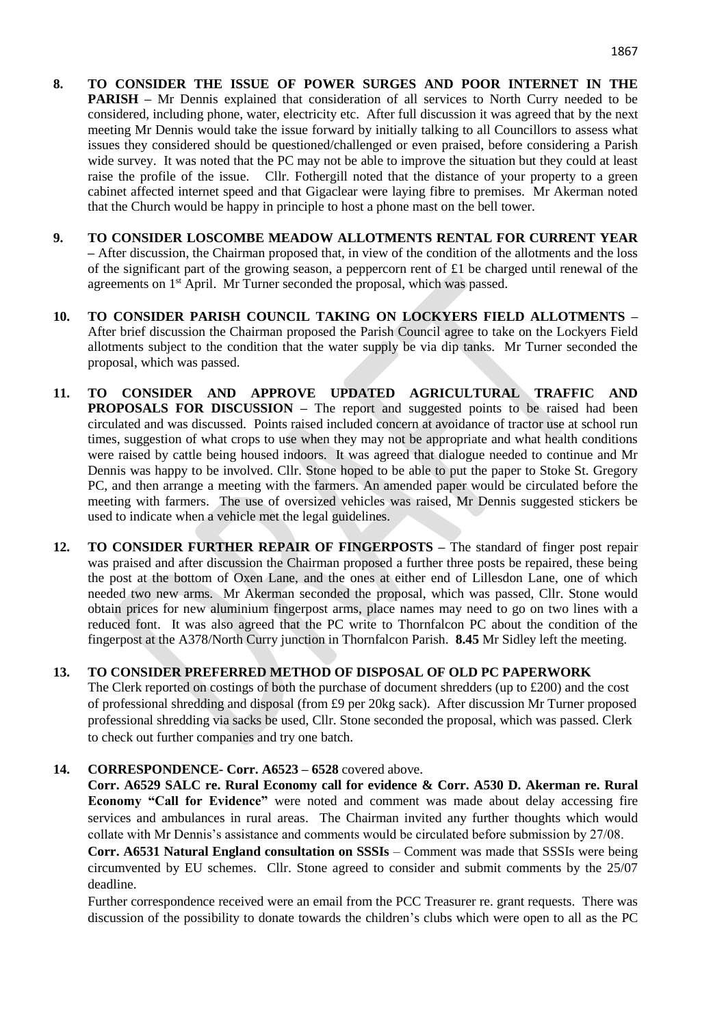- **8. TO CONSIDER THE ISSUE OF POWER SURGES AND POOR INTERNET IN THE PARISH –** Mr Dennis explained that consideration of all services to North Curry needed to be considered, including phone, water, electricity etc. After full discussion it was agreed that by the next meeting Mr Dennis would take the issue forward by initially talking to all Councillors to assess what issues they considered should be questioned/challenged or even praised, before considering a Parish wide survey. It was noted that the PC may not be able to improve the situation but they could at least raise the profile of the issue. Cllr. Fothergill noted that the distance of your property to a green cabinet affected internet speed and that Gigaclear were laying fibre to premises. Mr Akerman noted that the Church would be happy in principle to host a phone mast on the bell tower.
- **9. TO CONSIDER LOSCOMBE MEADOW ALLOTMENTS RENTAL FOR CURRENT YEAR –** After discussion, the Chairman proposed that, in view of the condition of the allotments and the loss of the significant part of the growing season, a peppercorn rent of  $\pounds$ 1 be charged until renewal of the agreements on 1<sup>st</sup> April. Mr Turner seconded the proposal, which was passed.
- **10. TO CONSIDER PARISH COUNCIL TAKING ON LOCKYERS FIELD ALLOTMENTS –** After brief discussion the Chairman proposed the Parish Council agree to take on the Lockyers Field allotments subject to the condition that the water supply be via dip tanks. Mr Turner seconded the proposal, which was passed.
- **11. TO CONSIDER AND APPROVE UPDATED AGRICULTURAL TRAFFIC AND PROPOSALS FOR DISCUSSION –** The report and suggested points to be raised had been circulated and was discussed. Points raised included concern at avoidance of tractor use at school run times, suggestion of what crops to use when they may not be appropriate and what health conditions were raised by cattle being housed indoors. It was agreed that dialogue needed to continue and Mr Dennis was happy to be involved. Cllr. Stone hoped to be able to put the paper to Stoke St. Gregory PC, and then arrange a meeting with the farmers. An amended paper would be circulated before the meeting with farmers. The use of oversized vehicles was raised, Mr Dennis suggested stickers be used to indicate when a vehicle met the legal guidelines.
- **12. TO CONSIDER FURTHER REPAIR OF FINGERPOSTS –** The standard of finger post repair was praised and after discussion the Chairman proposed a further three posts be repaired, these being the post at the bottom of Oxen Lane, and the ones at either end of Lillesdon Lane, one of which needed two new arms. Mr Akerman seconded the proposal, which was passed, Cllr. Stone would obtain prices for new aluminium fingerpost arms, place names may need to go on two lines with a reduced font. It was also agreed that the PC write to Thornfalcon PC about the condition of the fingerpost at the A378/North Curry junction in Thornfalcon Parish. **8.45** Mr Sidley left the meeting.
- **13. TO CONSIDER PREFERRED METHOD OF DISPOSAL OF OLD PC PAPERWORK** The Clerk reported on costings of both the purchase of document shredders (up to £200) and the cost of professional shredding and disposal (from £9 per 20kg sack). After discussion Mr Turner proposed professional shredding via sacks be used, Cllr. Stone seconded the proposal, which was passed. Clerk to check out further companies and try one batch.

#### **14. CORRESPONDENCE- Corr. A6523 – 6528** covered above.

**Corr. A6529 SALC re. Rural Economy call for evidence & Corr. A530 D. Akerman re. Rural Economy "Call for Evidence"** were noted and comment was made about delay accessing fire services and ambulances in rural areas. The Chairman invited any further thoughts which would collate with Mr Dennis's assistance and comments would be circulated before submission by 27/08.

**Corr. A6531 Natural England consultation on SSSIs** – Comment was made that SSSIs were being circumvented by EU schemes. Cllr. Stone agreed to consider and submit comments by the 25/07 deadline.

Further correspondence received were an email from the PCC Treasurer re. grant requests. There was discussion of the possibility to donate towards the children's clubs which were open to all as the PC